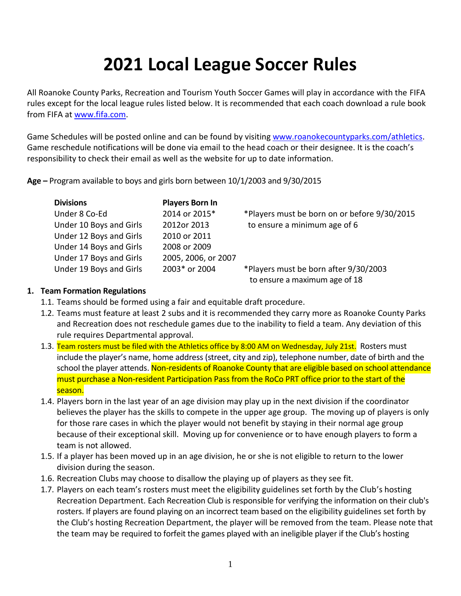# **2021 Local League Soccer Rules**

All Roanoke County Parks, Recreation and Tourism Youth Soccer Games will play in accordance with the FIFA rules except for the local league rules listed below. It is recommended that each coach download a rule book from FIFA a[t www.fifa.com.](http://www.fifa.com/)

Game Schedules will be posted online and can be found by visiting [www.roanokecountyparks.com/athletics.](http://www.roanokecountyparks.com/athletics) Game reschedule notifications will be done via email to the head coach or their designee. It is the coach's responsibility to check their email as well as the website for up to date information.

**Age –** Program available to boys and girls born between 10/1/2003 and 9/30/2015

| <b>Divisions</b>        | <b>Players Born In</b> |                                              |
|-------------------------|------------------------|----------------------------------------------|
| Under 8 Co-Ed           | 2014 or 2015*          | *Players must be born on or before 9/30/2015 |
| Under 10 Boys and Girls | 2012or 2013            | to ensure a minimum age of 6                 |
| Under 12 Boys and Girls | 2010 or 2011           |                                              |
| Under 14 Boys and Girls | 2008 or 2009           |                                              |
| Under 17 Boys and Girls | 2005, 2006, or 2007    |                                              |
| Under 19 Boys and Girls | 2003* or 2004          | *Players must be born after 9/30/2003        |
|                         |                        | to ensure a maximum age of 18                |

# **1. Team Formation Regulations**

- 1.1. Teams should be formed using a fair and equitable draft procedure.
- 1.2. Teams must feature at least 2 subs and it is recommended they carry more as Roanoke County Parks and Recreation does not reschedule games due to the inability to field a team. Any deviation of this rule requires Departmental approval.
- 1.3. Team rosters must be filed with the Athletics office by 8:00 AM on Wednesday, July 21st. Rosters must include the player's name, home address (street, city and zip), telephone number, date of birth and the school the player attends. Non-residents of Roanoke County that are eligible based on school attendance must purchase a Non-resident Participation Pass from the RoCo PRT office prior to the start of the season.
- 1.4. Players born in the last year of an age division may play up in the next division if the coordinator believes the player has the skills to compete in the upper age group. The moving up of players is only for those rare cases in which the player would not benefit by staying in their normal age group because of their exceptional skill. Moving up for convenience or to have enough players to form a team is not allowed.
- 1.5. If a player has been moved up in an age division, he or she is not eligible to return to the lower division during the season.
- 1.6. Recreation Clubs may choose to disallow the playing up of players as they see fit.
- 1.7. Players on each team's rosters must meet the eligibility guidelines set forth by the Club's hosting Recreation Department. Each Recreation Club is responsible for verifying the information on their club's rosters. If players are found playing on an incorrect team based on the eligibility guidelines set forth by the Club's hosting Recreation Department, the player will be removed from the team. Please note that the team may be required to forfeit the games played with an ineligible player if the Club's hosting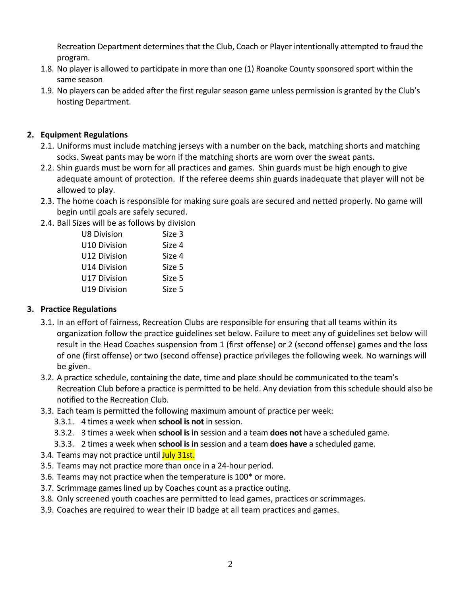Recreation Department determines that the Club, Coach or Player intentionally attempted to fraud the program.

- 1.8. No player is allowed to participate in more than one (1) Roanoke County sponsored sport within the same season
- 1.9. No players can be added after the first regular season game unless permission is granted by the Club's hosting Department.

# **2. Equipment Regulations**

- 2.1. Uniforms must include matching jerseys with a number on the back, matching shorts and matching socks. Sweat pants may be worn if the matching shorts are worn over the sweat pants.
- 2.2. Shin guards must be worn for all practices and games. Shin guards must be high enough to give adequate amount of protection. If the referee deems shin guards inadequate that player will not be allowed to play.
- 2.3. The home coach is responsible for making sure goals are secured and netted properly. No game will begin until goals are safely secured.
- 2.4. Ball Sizes will be as follows by division

| <b>U8 Division</b>  | Size 3 |
|---------------------|--------|
| <b>U10 Division</b> | Size 4 |
| <b>U12 Division</b> | Size 4 |
| <b>U14 Division</b> | Size 5 |
| <b>U17 Division</b> | Size 5 |
| <b>U19 Division</b> | Size 5 |

## **3. Practice Regulations**

- 3.1. In an effort of fairness, Recreation Clubs are responsible for ensuring that all teams within its organization follow the practice guidelines set below. Failure to meet any of guidelines set below will result in the Head Coaches suspension from 1 (first offense) or 2 (second offense) games and the loss of one (first offense) or two (second offense) practice privileges the following week. No warnings will be given.
- 3.2. A practice schedule, containing the date, time and place should be communicated to the team's Recreation Club before a practice is permitted to be held. Any deviation from this schedule should also be notified to the Recreation Club.
- 3.3. Each team is permitted the following maximum amount of practice per week:
	- 3.3.1. 4 times a week when **school is not** in session.
	- 3.3.2. 3 times a week when **school is in** session and a team **does not** have a scheduled game.
	- 3.3.3. 2 times a week when **school isin** session and a team **does have** a scheduled game.
- 3.4. Teams may not practice until July 31st.
- 3.5. Teams may not practice more than once in a 24-hour period.
- 3.6. Teams may not practice when the temperature is 100\* or more.
- 3.7. Scrimmage games lined up by Coaches count as a practice outing.
- 3.8. Only screened youth coaches are permitted to lead games, practices or scrimmages.
- 3.9. Coaches are required to wear their ID badge at all team practices and games.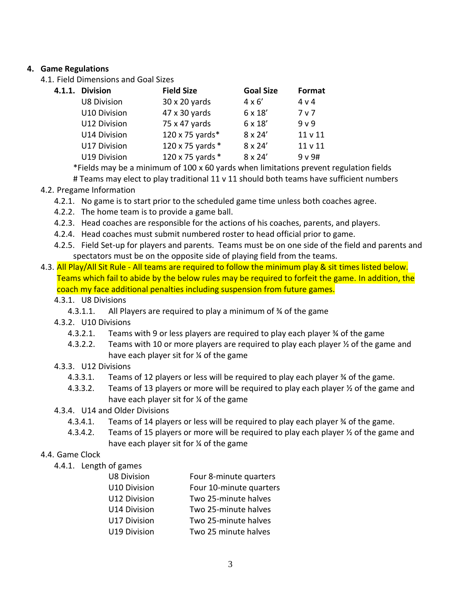## **4. Game Regulations**

4.1. Field Dimensions and Goal Sizes

| 4.1.1. | <b>Division</b>    | <b>Field Size</b> | <b>Goal Size</b> | Format             |
|--------|--------------------|-------------------|------------------|--------------------|
|        | <b>U8 Division</b> | 30 x 20 yards     | $4 \times 6'$    | 4 v 4              |
|        | U10 Division       | 47 x 30 yards     | 6 x 18'          | 7 <sub>v</sub>     |
|        | U12 Division       | 75 x 47 yards     | 6 x 18'          | 9 <sub>v</sub>     |
|        | U14 Division       | 120 x 75 yards*   | $8 \times 24'$   | 11 <sub>v</sub> 11 |
|        | U17 Division       | 120 x 75 yards *  | $8 \times 24'$   | 11 v 11            |
|        | U19 Division       | 120 x 75 yards *  | $8 \times 24'$   | 9 v 9#             |

\*Fields may be a minimum of 100 x 60 yards when limitations prevent regulation fields # Teams may elect to play traditional 11 v 11 should both teams have sufficient numbers

## 4.2. Pregame Information

- 4.2.1. No game is to start prior to the scheduled game time unless both coaches agree.
- 4.2.2. The home team is to provide a game ball.
- 4.2.3. Head coaches are responsible for the actions of his coaches, parents, and players.
- 4.2.4. Head coaches must submit numbered roster to head official prior to game.
- 4.2.5. Field Set-up for players and parents. Teams must be on one side of the field and parents and spectators must be on the opposite side of playing field from the teams.
- 4.3. All Play/All Sit Rule All teams are required to follow the minimum play & sit times listed below. Teams which fail to abide by the below rules may be required to forfeit the game. In addition, the coach my face additional penalties including suspension from future games.
	- 4.3.1. U8 Divisions
		- 4.3.1.1. All Players are required to play a minimum of ¾ of the game
	- 4.3.2. U10 Divisions
		- 4.3.2.1. Teams with 9 or less players are required to play each player ¾ of the game
		- 4.3.2.2. Teams with 10 or more players are required to play each player ½ of the game and have each player sit for ¼ of the game

#### 4.3.3. U12 Divisions

- 4.3.3.1. Teams of 12 players or less will be required to play each player ¾ of the game.
- 4.3.3.2. Teams of 13 players or more will be required to play each player  $\frac{1}{2}$  of the game and have each player sit for ¼ of the game
- 4.3.4. U14 and Older Divisions
	- 4.3.4.1. Teams of 14 players or less will be required to play each player % of the game.
	- 4.3.4.2. Teams of 15 players or more will be required to play each player  $\frac{1}{2}$  of the game and have each player sit for ¼ of the game

#### 4.4. Game Clock

4.4.1. Length of games

| <b>U8 Division</b>  | Four 8-minute quarters  |
|---------------------|-------------------------|
| <b>U10 Division</b> | Four 10-minute quarters |
| U12 Division        | Two 25-minute halves    |
| U14 Division        | Two 25-minute halves    |
| U17 Division        | Two 25-minute halves    |
| U19 Division        | Two 25 minute halves    |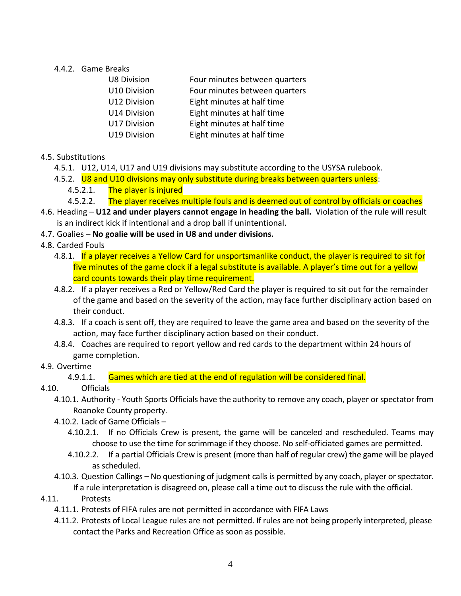## 4.4.2. Game Breaks

| <b>U8 Division</b> | Four minutes between quarters |
|--------------------|-------------------------------|
| U10 Division       | Four minutes between quarters |
| U12 Division       | Eight minutes at half time    |
| U14 Division       | Eight minutes at half time    |
| U17 Division       | Eight minutes at half time    |
| U19 Division       | Eight minutes at half time    |
|                    |                               |

- 4.5. Substitutions
	- 4.5.1. U12, U14, U17 and U19 divisions may substitute according to the USYSA rulebook.
	- 4.5.2. U8 and U10 divisions may only substitute during breaks between quarters unless:
		- 4.5.2.1. The player is injured
		- 4.5.2.2. The player receives multiple fouls and is deemed out of control by officials or coaches
- 4.6. Heading **U12 and under players cannot engage in heading the ball.** Violation of the rule will result is an indirect kick if intentional and a drop ball if unintentional.
- 4.7. Goalies **No goalie will be used in U8 and under divisions.**
- 4.8. Carded Fouls
	- 4.8.1. If a player receives a Yellow Card for unsportsmanlike conduct, the player is required to sit for five minutes of the game clock if a legal substitute is available. A player's time out for a yellow card counts towards their play time requirement.
	- 4.8.2. If a player receives a Red or Yellow/Red Card the player is required to sit out for the remainder of the game and based on the severity of the action, may face further disciplinary action based on their conduct.
	- 4.8.3. If a coach is sent off, they are required to leave the game area and based on the severity of the action, may face further disciplinary action based on their conduct.
	- 4.8.4. Coaches are required to report yellow and red cards to the department within 24 hours of game completion.

#### 4.9. Overtime

4.9.1.1. Games which are tied at the end of regulation will be considered final.

## 4.10. Officials

- 4.10.1. Authority Youth Sports Officials have the authority to remove any coach, player or spectator from Roanoke County property.
- 4.10.2. Lack of Game Officials
	- 4.10.2.1. If no Officials Crew is present, the game will be canceled and rescheduled. Teams may choose to use the time for scrimmage if they choose. No self-officiated games are permitted.
	- 4.10.2.2. If a partial Officials Crew is present (more than half of regular crew) the game will be played as scheduled.
- 4.10.3. Question Callings No questioning of judgment calls is permitted by any coach, player or spectator. If a rule interpretation is disagreed on, please call a time out to discuss the rule with the official.
- 4.11. Protests
	- 4.11.1. Protests of FIFA rules are not permitted in accordance with FIFA Laws
	- 4.11.2. Protests of Local League rules are not permitted. If rules are not being properly interpreted, please contact the Parks and Recreation Office as soon as possible.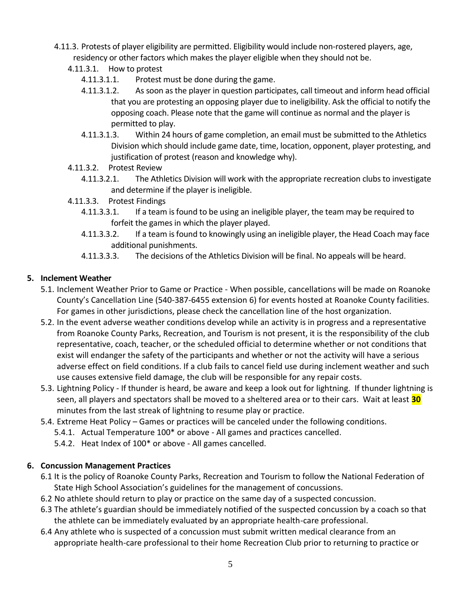- 4.11.3. Protests of player eligibility are permitted. Eligibility would include non-rostered players, age, residency or other factors which makes the player eligible when they should not be.
	- 4.11.3.1. How to protest
		- 4.11.3.1.1. Protest must be done during the game.
		- 4.11.3.1.2. As soon as the player in question participates, call timeout and inform head official that you are protesting an opposing player due to ineligibility. Ask the official to notify the opposing coach. Please note that the game will continue as normal and the player is permitted to play.
		- 4.11.3.1.3. Within 24 hours of game completion, an email must be submitted to the Athletics Division which should include game date, time, location, opponent, player protesting, and justification of protest (reason and knowledge why).
	- 4.11.3.2. Protest Review
		- 4.11.3.2.1. The Athletics Division will work with the appropriate recreation clubs to investigate and determine if the player is ineligible.
	- 4.11.3.3. Protest Findings
		- 4.11.3.3.1. If a team is found to be using an ineligible player, the team may be required to forfeit the games in which the player played.
		- 4.11.3.3.2. If a team is found to knowingly using an ineligible player, the Head Coach may face additional punishments.
		- 4.11.3.3.3. The decisions of the Athletics Division will be final. No appeals will be heard.

## **5. Inclement Weather**

- 5.1. Inclement Weather Prior to Game or Practice When possible, cancellations will be made on Roanoke County's Cancellation Line (540-387-6455 extension 6) for events hosted at Roanoke County facilities. For games in other jurisdictions, please check the cancellation line of the host organization.
- 5.2. In the event adverse weather conditions develop while an activity is in progress and a representative from Roanoke County Parks, Recreation, and Tourism is not present, it is the responsibility of the club representative, coach, teacher, or the scheduled official to determine whether or not conditions that exist will endanger the safety of the participants and whether or not the activity will have a serious adverse effect on field conditions. If a club fails to cancel field use during inclement weather and such use causes extensive field damage, the club will be responsible for any repair costs.
- 5.3. Lightning Policy If thunder is heard, be aware and keep a look out for lightning. If thunder lightning is seen, all players and spectators shall be moved to a sheltered area or to their cars. Wait at least **30** minutes from the last streak of lightning to resume play or practice.
- 5.4. Extreme Heat Policy Games or practices will be canceled under the following conditions.
	- 5.4.1. Actual Temperature 100\* or above All games and practices cancelled.
	- 5.4.2. Heat Index of 100\* or above All games cancelled.

#### **6. Concussion Management Practices**

- 6.1 It is the policy of Roanoke County Parks, Recreation and Tourism to follow the National Federation of State High School Association's guidelines for the management of concussions.
- 6.2 No athlete should return to play or practice on the same day of a suspected concussion.
- 6.3 The athlete's guardian should be immediately notified of the suspected concussion by a coach so that the athlete can be immediately evaluated by an appropriate health-care professional.
- 6.4 Any athlete who is suspected of a concussion must submit written medical clearance from an appropriate health-care professional to their home Recreation Club prior to returning to practice or